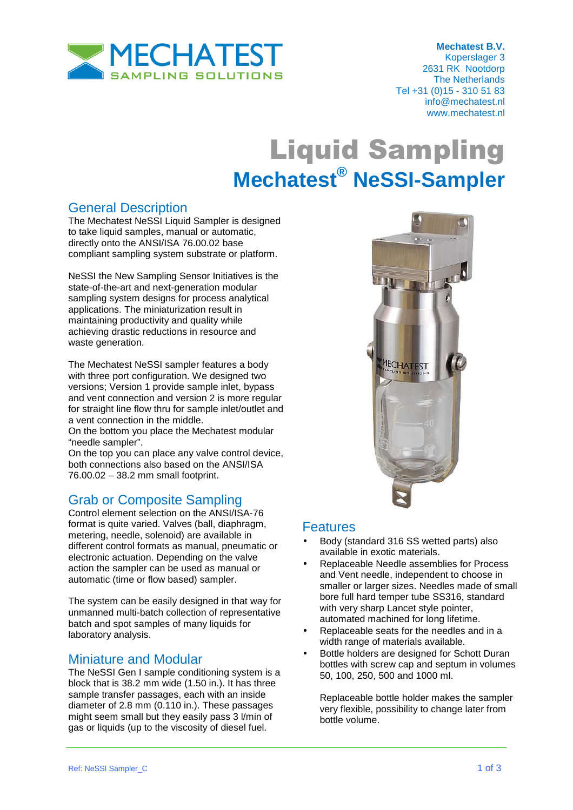

## Liquid Sampling **Mechatest® NeSSI-Sampler**

### General Description

The Mechatest NeSSI Liquid Sampler is designed to take liquid samples, manual or automatic, directly onto the ANSI/ISA 76.00.02 base compliant sampling system substrate or platform.

NeSSI the New Sampling Sensor Initiatives is the state-of-the-art and next-generation modular sampling system designs for process analytical applications. The miniaturization result in maintaining productivity and quality while achieving drastic reductions in resource and waste generation.

The Mechatest NeSSI sampler features a body with three port configuration. We designed two versions; Version 1 provide sample inlet, bypass and vent connection and version 2 is more regular for straight line flow thru for sample inlet/outlet and a vent connection in the middle.

On the bottom you place the Mechatest modular "needle sampler".

On the top you can place any valve control device, both connections also based on the ANSI/ISA 76.00.02 – 38.2 mm small footprint.

#### Grab or Composite Sampling

Control element selection on the ANSI/ISA-76 format is quite varied. Valves (ball, diaphragm, metering, needle, solenoid) are available in different control formats as manual, pneumatic or electronic actuation. Depending on the valve action the sampler can be used as manual or automatic (time or flow based) sampler.

The system can be easily designed in that way for unmanned multi-batch collection of representative batch and spot samples of many liquids for laboratory analysis.

#### Miniature and Modular

The NeSSI Gen I sample conditioning system is a block that is 38.2 mm wide (1.50 in.). It has three sample transfer passages, each with an inside diameter of 2.8 mm (0.110 in.). These passages might seem small but they easily pass 3 l/min of gas or liquids (up to the viscosity of diesel fuel.



#### **Features**

- Body (standard 316 SS wetted parts) also available in exotic materials.
- Replaceable Needle assemblies for Process and Vent needle, independent to choose in smaller or larger sizes. Needles made of small bore full hard temper tube SS316, standard with very sharp Lancet style pointer. automated machined for long lifetime.
- Replaceable seats for the needles and in a width range of materials available.
- Bottle holders are designed for Schott Duran bottles with screw cap and septum in volumes 50, 100, 250, 500 and 1000 ml.

Replaceable bottle holder makes the sampler very flexible, possibility to change later from bottle volume.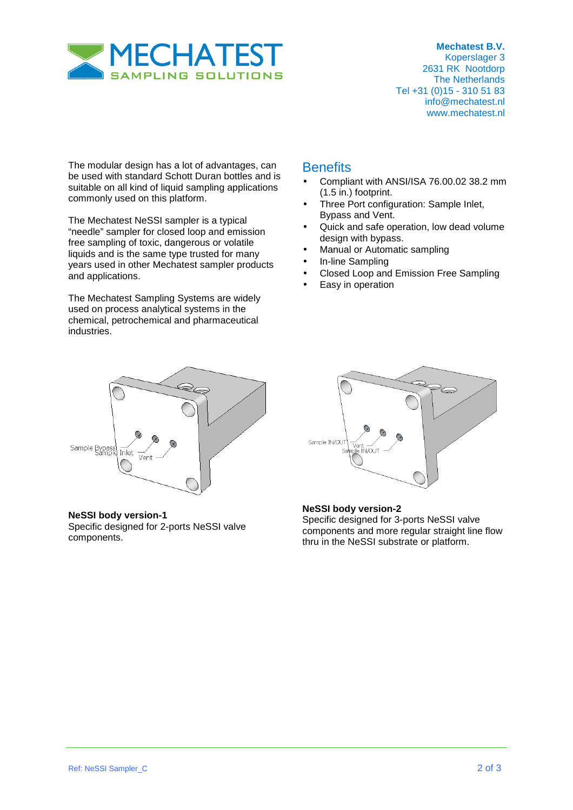

 **Mechatest B.V.**  Koperslager 3 2631 RK Nootdorp The Netherlands Tel +31 (0)15 - 310 51 83 info@mechatest.nl www.mechatest.nl

The modular design has a lot of advantages, can be used with standard Schott Duran bottles and is suitable on all kind of liquid sampling applications commonly used on this platform.

The Mechatest NeSSI sampler is a typical "needle" sampler for closed loop and emission free sampling of toxic, dangerous or volatile liquids and is the same type trusted for many years used in other Mechatest sampler products and applications.

The Mechatest Sampling Systems are widely used on process analytical systems in the chemical, petrochemical and pharmaceutical industries.

# Sample Bypass Inlet Vent

**NeSSI body version-1** Specific designed for 2-ports NeSSI valve components.

#### **Benefits**

- Compliant with ANSI/ISA 76.00.02 38.2 mm (1.5 in.) footprint.
- Three Port configuration: Sample Inlet, Bypass and Vent.
- Quick and safe operation, low dead volume design with bypass.
- Manual or Automatic sampling
- In-line Sampling
- Closed Loop and Emission Free Sampling
- Easy in operation



#### **NeSSI body version-2**

Specific designed for 3-ports NeSSI valve components and more regular straight line flow thru in the NeSSI substrate or platform.